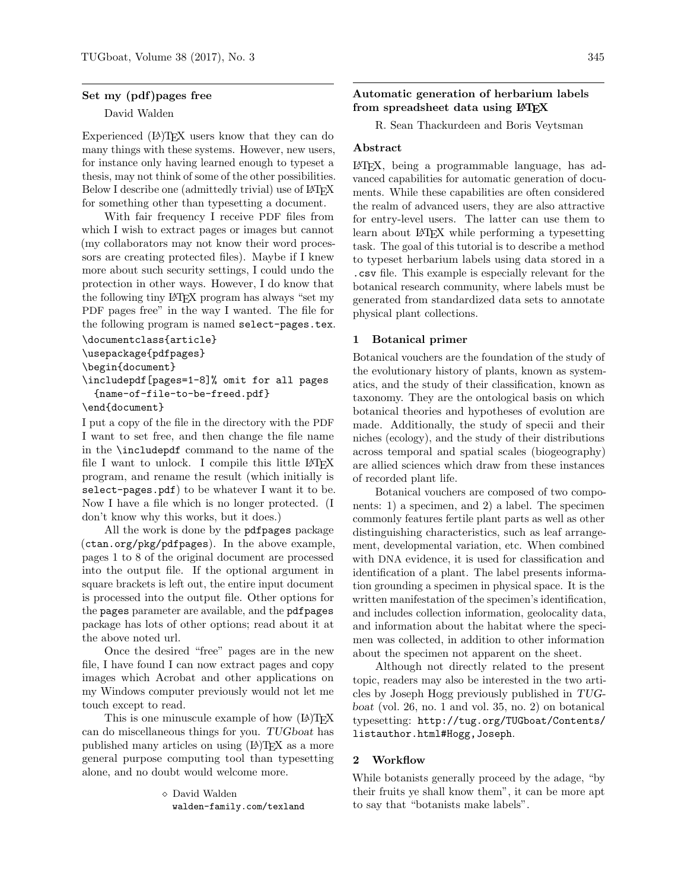# Set my (pdf)pages free

David Walden

Experienced (LA)T<sub>F</sub>X users know that they can do many things with these systems. However, new users, for instance only having learned enough to typeset a thesis, may not think of some of the other possibilities. Below I describe one (admittedly trivial) use of LAT<sub>EX</sub> for something other than typesetting a document.

With fair frequency I receive PDF files from which I wish to extract pages or images but cannot (my collaborators may not know their word processors are creating protected files). Maybe if I knew more about such security settings, I could undo the protection in other ways. However, I do know that the following tiny LATEX program has always "set my PDF pages free" in the way I wanted. The file for the following program is named select-pages.tex.

```
\documentclass{article}
\usepackage{pdfpages}
\begin{document}
\includepdf[pages=1-8]% omit for all pages
 {name-of-file-to-be-freed.pdf}
```
\end{document}

I put a copy of the file in the directory with the PDF I want to set free, and then change the file name in the \includepdf command to the name of the file I want to unlock. I compile this little LATEX program, and rename the result (which initially is select-pages.pdf) to be whatever I want it to be. Now I have a file which is no longer protected. (I don't know why this works, but it does.)

All the work is done by the pdfpages package (ctan.org/pkg/pdfpages). In the above example, pages 1 to 8 of the original document are processed into the output file. If the optional argument in square brackets is left out, the entire input document is processed into the output file. Other options for the pages parameter are available, and the pdfpages package has lots of other options; read about it at the above noted url.

Once the desired "free" pages are in the new file, I have found I can now extract pages and copy images which Acrobat and other applications on my Windows computer previously would not let me touch except to read.

This is one minuscule example of how  $(LA)TFX$ can do miscellaneous things for you. TUGboat has published many articles on using  $(A)$ TEX as a more general purpose computing tool than typesetting alone, and no doubt would welcome more.

> David Walden walden-family.com/texland

Automatic generation of herbarium labels from spreadsheet data using LAT<sub>EX</sub>

R. Sean Thackurdeen and Boris Veytsman

# Abstract

LATEX, being a programmable language, has advanced capabilities for automatic generation of documents. While these capabilities are often considered the realm of advanced users, they are also attractive for entry-level users. The latter can use them to learn about LAT<sub>EX</sub> while performing a typesetting task. The goal of this tutorial is to describe a method to typeset herbarium labels using data stored in a .csv file. This example is especially relevant for the botanical research community, where labels must be generated from standardized data sets to annotate physical plant collections.

# 1 Botanical primer

Botanical vouchers are the foundation of the study of the evolutionary history of plants, known as systematics, and the study of their classification, known as taxonomy. They are the ontological basis on which botanical theories and hypotheses of evolution are made. Additionally, the study of specii and their niches (ecology), and the study of their distributions across temporal and spatial scales (biogeography) are allied sciences which draw from these instances of recorded plant life.

Botanical vouchers are composed of two components: 1) a specimen, and 2) a label. The specimen commonly features fertile plant parts as well as other distinguishing characteristics, such as leaf arrangement, developmental variation, etc. When combined with DNA evidence, it is used for classification and identification of a plant. The label presents information grounding a specimen in physical space. It is the written manifestation of the specimen's identification, and includes collection information, geolocality data, and information about the habitat where the specimen was collected, in addition to other information about the specimen not apparent on the sheet.

Although not directly related to the present topic, readers may also be interested in the two articles by Joseph Hogg previously published in TUGboat (vol. 26, no. 1 and vol. 35, no. 2) on botanical typesetting: [http://tug.org/TUGboat/Contents/](http://tug.org/TUGboat/Contents/listauthor.html#Hogg,Joseph) [listauthor.html#Hogg,Joseph](http://tug.org/TUGboat/Contents/listauthor.html#Hogg,Joseph).

# 2 Workflow

While botanists generally proceed by the adage, "by their fruits ye shall know them", it can be more apt to say that "botanists make labels".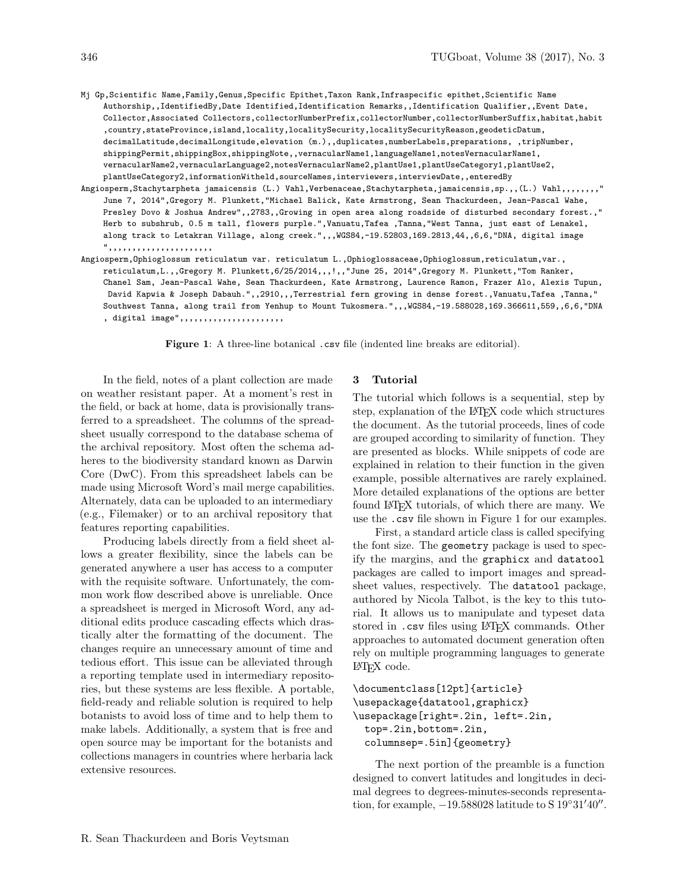- Mj Gp,Scientific Name,Family,Genus,Specific Epithet,Taxon Rank,Infraspecific epithet,Scientific Name Authorship,,IdentifiedBy,Date Identified,Identification Remarks,,Identification Qualifier,,Event Date, Collector,Associated Collectors,collectorNumberPrefix,collectorNumber,collectorNumberSuffix,habitat,habit ,country,stateProvince,island,locality,localitySecurity,localitySecurityReason,geodeticDatum, decimalLatitude,decimalLongitude,elevation (m.),,duplicates,numberLabels,preparations, ,tripNumber, shippingPermit,shippingBox,shippingNote,,vernacularName1,languageName1,notesVernacularName1, vernacularName2,vernacularLanguage2,notesVernacularName2,plantUse1,plantUseCategory1,plantUse2, plantUseCategory2,informationWitheld,sourceNames,interviewers,interviewDate,,enteredBy
- Angiosperm,Stachytarpheta jamaicensis (L.) Vahl,Verbenaceae,Stachytarpheta,jamaicensis,sp.,,(L.) Vahl,,,,,,,," June 7, 2014",Gregory M. Plunkett,"Michael Balick, Kate Armstrong, Sean Thackurdeen, Jean-Pascal Wahe, Presley Dovo & Joshua Andrew",,2783,,Growing in open area along roadside of disturbed secondary forest.," Herb to subshrub, 0.5 m tall, flowers purple.",Vanuatu,Tafea ,Tanna,"West Tanna, just east of Lenakel, along track to Letakran Village, along creek.",,,WGS84,-19.52803,169.2813,44,,6,6,"DNA, digital image ",,,,,,,,,,,,,,,,,,,,,,
- Angiosperm,Ophioglossum reticulatum var. reticulatum L.,Ophioglossaceae,Ophioglossum,reticulatum,var., reticulatum,L.,,Gregory M. Plunkett,6/25/2014,,,!,,"June 25, 2014",Gregory M. Plunkett,"Tom Ranker, Chanel Sam, Jean-Pascal Wahe, Sean Thackurdeen, Kate Armstrong, Laurence Ramon, Frazer Alo, Alexis Tupun, David Kapwia & Joseph Dabauh.",,2910,,,Terrestrial fern growing in dense forest.,Vanuatu,Tafea ,Tanna," Southwest Tanna, along trail from Yenhup to Mount Tukosmera.",,,WGS84,-19.588028,169.366611,559,,6,6,"DNA , digital image",,,,,,,,,,,,,,,,,,,,,,,,

<span id="page-1-0"></span>Figure 1: A three-line botanical .csv file (indented line breaks are editorial).

In the field, notes of a plant collection are made on weather resistant paper. At a moment's rest in the field, or back at home, data is provisionally transferred to a spreadsheet. The columns of the spreadsheet usually correspond to the database schema of the archival repository. Most often the schema adheres to the biodiversity standard known as Darwin Core (DwC). From this spreadsheet labels can be made using Microsoft Word's mail merge capabilities. Alternately, data can be uploaded to an intermediary (e.g., Filemaker) or to an archival repository that features reporting capabilities.

Producing labels directly from a field sheet allows a greater flexibility, since the labels can be generated anywhere a user has access to a computer with the requisite software. Unfortunately, the common work flow described above is unreliable. Once a spreadsheet is merged in Microsoft Word, any additional edits produce cascading effects which drastically alter the formatting of the document. The changes require an unnecessary amount of time and tedious effort. This issue can be alleviated through a reporting template used in intermediary repositories, but these systems are less flexible. A portable, field-ready and reliable solution is required to help botanists to avoid loss of time and to help them to make labels. Additionally, a system that is free and open source may be important for the botanists and collections managers in countries where herbaria lack extensive resources.

#### 3 Tutorial

The tutorial which follows is a sequential, step by step, explanation of the L<sup>AT</sup>EX code which structures the document. As the tutorial proceeds, lines of code are grouped according to similarity of function. They are presented as blocks. While snippets of code are explained in relation to their function in the given example, possible alternatives are rarely explained. More detailed explanations of the options are better found L<sup>AT</sup>EX tutorials, of which there are many. We use the .csv file shown in Figure [1](#page-1-0) for our examples.

First, a standard article class is called specifying the font size. The geometry package is used to specify the margins, and the graphicx and datatool packages are called to import images and spreadsheet values, respectively. The datatool package, authored by Nicola Talbot, is the key to this tutorial. It allows us to manipulate and typeset data stored in .csv files using L<sup>AT</sup>FX commands. Other approaches to automated document generation often rely on multiple programming languages to generate LATEX code.

```
\documentclass[12pt]{article}
\usepackage{datatool,graphicx}
\usepackage[right=.2in, left=.2in,
 top=.2in,bottom=.2in,
 columnsep=.5in]{geometry}
```
The next portion of the preamble is a function designed to convert latitudes and longitudes in decimal degrees to degrees-minutes-seconds representation, for example,  $-19.588028$  latitude to S  $19°31'40''$ .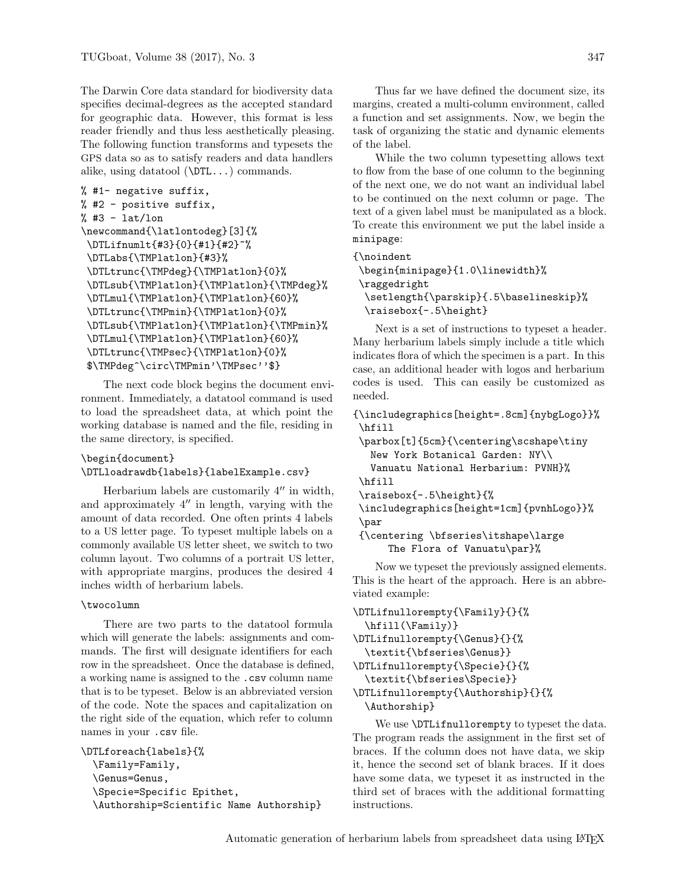The Darwin Core data standard for biodiversity data specifies decimal-degrees as the accepted standard for geographic data. However, this format is less reader friendly and thus less aesthetically pleasing. The following function transforms and typesets the GPS data so as to satisfy readers and data handlers alike, using datatool (\DTL...) commands.

```
% #1- negative suffix,
% #2 - positive suffix,
% #3 - lat/lon
\newcommand{\latlontodeg}[3]{%
 \DTLifnumlt{#3}{0}{#1}{#2}~%
 \DTLabs{\TMPlatlon}{#3}%
 \DTLtrunc{\TMPdeg}{\TMPlatlon}{0}%
 \DTLsub{\TMPlatlon}{\TMPlatlon}{\TMPdeg}%
 \DTLmul{\TMPlatlon}{\TMPlatlon}{60}%
 \DTLtrunc{\TMPmin}{\TMPlatlon}{0}%
 \DTLsub{\TMPlatlon}{\TMPlatlon}{\TMPmin}%
 \DTLmul{\TMPlatlon}{\TMPlatlon}{60}%
 \DTLtrunc{\TMPsec}{\TMPlatlon}{0}%
 $\TMPdeg^\circ\TMPmin'\TMPsec''$}
```
The next code block begins the document environment. Immediately, a datatool command is used to load the spreadsheet data, at which point the working database is named and the file, residing in the same directory, is specified.

# \begin{document} \DTLloadrawdb{labels}{labelExample.csv}

Herbarium labels are customarily  $4^{\prime\prime}$  in width, and approximately  $4^{\prime\prime}$  in length, varying with the amount of data recorded. One often prints 4 labels to a US letter page. To typeset multiple labels on a commonly available US letter sheet, we switch to two column layout. Two columns of a portrait US letter, with appropriate margins, produces the desired 4 inches width of herbarium labels.

#### \twocolumn

There are two parts to the datatool formula which will generate the labels: assignments and commands. The first will designate identifiers for each row in the spreadsheet. Once the database is defined, a working name is assigned to the .csv column name that is to be typeset. Below is an abbreviated version of the code. Note the spaces and capitalization on the right side of the equation, which refer to column names in your .csv file.

```
\DTLforeach{labels}{%
 \Family=Family,
 \Genus=Genus,
 \Specie=Specific Epithet,
 \Authorship=Scientific Name Authorship}
```
Thus far we have defined the document size, its margins, created a multi-column environment, called a function and set assignments. Now, we begin the task of organizing the static and dynamic elements of the label.

While the two column typesetting allows text to flow from the base of one column to the beginning of the next one, we do not want an individual label to be continued on the next column or page. The text of a given label must be manipulated as a block. To create this environment we put the label inside a minipage:

```
{\noindent
```

```
\begin{minipage}{1.0\linewidth}%
\raggedright
 \setlength{\parskip}{.5\baselineskip}%
 \raisebox{-.5\height}
```
Next is a set of instructions to typeset a header. Many herbarium labels simply include a title which indicates flora of which the specimen is a part. In this case, an additional header with logos and herbarium codes is used. This can easily be customized as needed.

```
{\includegraphics[height=.8cm]{nybgLogo}}%
\hfill
```

```
\parbox[t]{5cm}{\centering\scshape\tiny
 New York Botanical Garden: NY\\
  Vanuatu National Herbarium: PVNH}%
\hfill
\raisebox{-.5\height}{%
\includegraphics[height=1cm]{pvnhLogo}}%
\par
{\centering \bfseries\itshape\large
```

```
The Flora of Vanuatu\par}%
```
Now we typeset the previously assigned elements. This is the heart of the approach. Here is an abbreviated example:

```
\DTLifnullorempty{\Family}{}{%
 \hfill(\Family)}
\DTLifnullorempty{\Genus}{}{%
  \textit{\bfseries\Genus}}
\DTLifnullorempty{\Specie}{}{%
  \textit{\bfseries\Specie}}
\DTLifnullorempty{\Authorship}{}{%
```
\Authorship}

We use **\DTLifnullorempty** to typeset the data. The program reads the assignment in the first set of braces. If the column does not have data, we skip it, hence the second set of blank braces. If it does have some data, we typeset it as instructed in the third set of braces with the additional formatting instructions.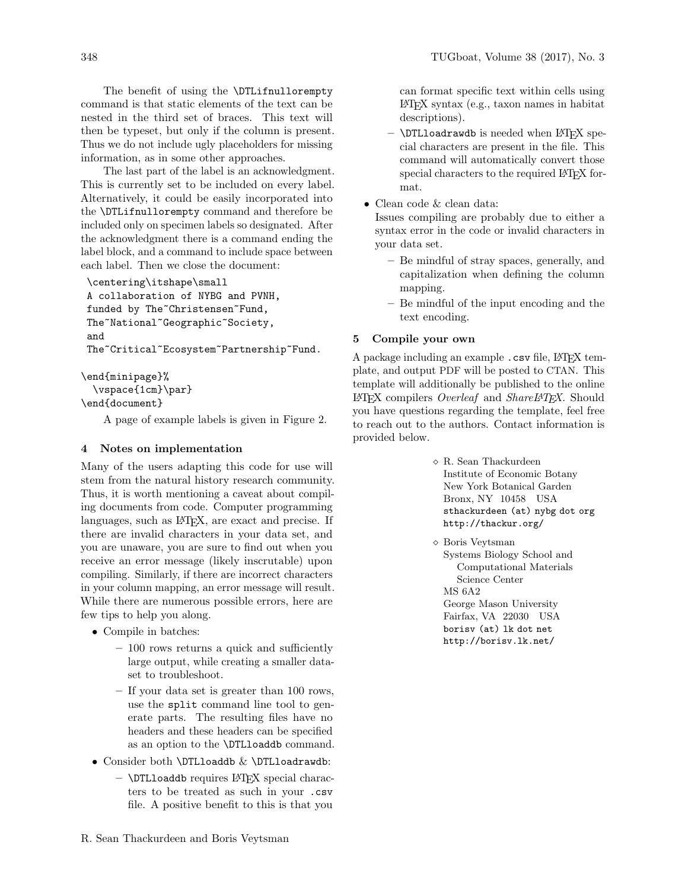The benefit of using the **\DTLifnullorempty** command is that static elements of the text can be nested in the third set of braces. This text will then be typeset, but only if the column is present. Thus we do not include ugly placeholders for missing information, as in some other approaches.

The last part of the label is an acknowledgment. This is currently set to be included on every label. Alternatively, it could be easily incorporated into the \DTLifnullorempty command and therefore be included only on specimen labels so designated. After the acknowledgment there is a command ending the label block, and a command to include space between each label. Then we close the document:

```
\centering\itshape\small
A collaboration of NYBG and PVNH,
funded by The~Christensen~Fund,
The~National~Geographic~Society,
and
The~Critical~Ecosystem~Partnership~Fund.
```
\end{minipage}%

\vspace{1cm}\par}

\end{document}

A page of example labels is given in Figure [2.](#page-4-0)

# 4 Notes on implementation

Many of the users adapting this code for use will stem from the natural history research community. Thus, it is worth mentioning a caveat about compiling documents from code. Computer programming languages, such as L<sup>AT</sup>FX, are exact and precise. If there are invalid characters in your data set, and you are unaware, you are sure to find out when you receive an error message (likely inscrutable) upon compiling. Similarly, if there are incorrect characters in your column mapping, an error message will result. While there are numerous possible errors, here are few tips to help you along.

- Compile in batches:
	- 100 rows returns a quick and sufficiently large output, while creating a smaller dataset to troubleshoot.
	- If your data set is greater than 100 rows, use the split command line tool to generate parts. The resulting files have no headers and these headers can be specified as an option to the \DTLloaddb command.
- Consider both  $\DTLloaddb & \DTLloadrawdb$ :
	- \DTLloaddb requires LATEX special characters to be treated as such in your .csv file. A positive benefit to this is that you

cial characters are present in the file. This command will automatically convert those special characters to the required LAT<sub>E</sub>X format.

can format specific text within cells using

• Clean code & clean data:

Issues compiling are probably due to either a syntax error in the code or invalid characters in your data set.

- Be mindful of stray spaces, generally, and capitalization when defining the column mapping.
- Be mindful of the input encoding and the text encoding.

# 5 Compile your own

A package including an example .csv file, LATEX template, and output PDF will be posted to CTAN. This template will additionally be published to the online LAT<sub>EX</sub> compilers *Overleaf* and *ShareLATEX*. Should you have questions regarding the template, feel free to reach out to the authors. Contact information is provided below.

- $\diamond$ R. Sean Thackurdeen Institute of Economic Botany New York Botanical Garden Bronx, NY 10458 USA sthackurdeen (at) nybg dot org http://thackur.org/
- Boris Veytsman Systems Biology School and Computational Materials Science Center MS 6A2 George Mason University Fairfax, VA 22030 USA borisv (at) lk dot net http://borisv.lk.net/